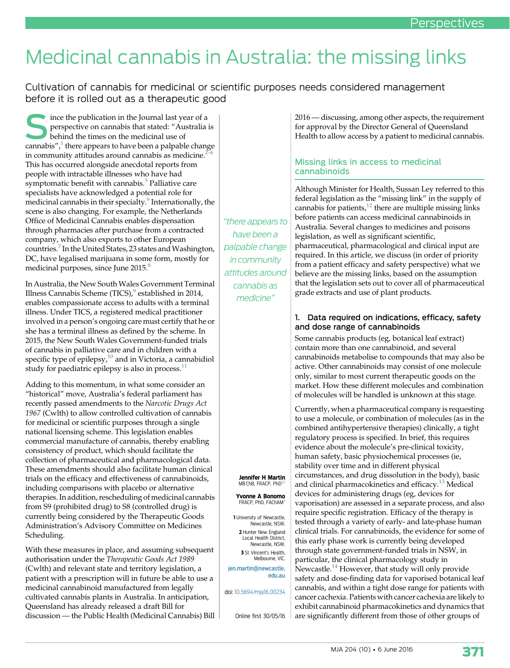# Medicinal cannabis in Australia: the missing links

Cultivation of cannabis for medicinal or scientific purposes needs considered management before it is rolled out as a therapeutic good

 $\bullet$  ince the publication in the Journal last year of a perspective on cannabis that stated: "Australia is behind the times on the medicinal use of cannabis", $^1$  $^1$  there appears to have been a palpable change in community attitudes around cannabis as medicine.<sup>2</sup> This has occurred alongside anecdotal reports from people with intractable illnesses who have had symptomatic benefit with cannabis.<sup>[5](#page-3-0)</sup> Palliative care specialists have acknowledged a potential role for medicinal cannabis in their specialty.<sup>[6](#page-3-0)</sup> Internationally, the scene is also changing. For example, the Netherlands Office of Medicinal Cannabis enables dispensation through pharmacies after purchase from a contracted company, which also exports to other European countries.<sup>[7](#page-3-0)</sup> In the United States, 23 states and Washington, DC, have legalised marijuana in some form, mostly for medicinal purposes, since June 2015.<sup>[8](#page-3-0)</sup>

In Australia, the New South Wales Government Terminal Illness Cannabis Scheme (TICS), $9$  established in 2014, enables compassionate access to adults with a terminal illness. Under TICS, a registered medical practitioner involved in a person's ongoing care must certify that he or she has a terminal illness as defined by the scheme. In 2015, the New South Wales Government-funded trials of cannabis in palliative care and in children with a specific type of epilepsy, $10$  and in Victoria, a cannabidiol study for paediatric epilepsy is also in process.<sup>[11](#page-3-0)</sup>

Adding to this momentum, in what some consider an "historical" move, Australia's federal parliament has recently passed amendments to the Narcotic Drugs Act 1967 (Cwlth) to allow controlled cultivation of cannabis for medicinal or scientific purposes through a single national licensing scheme. This legislation enables commercial manufacture of cannabis, thereby enabling consistency of product, which should facilitate the collection of pharmaceutical and pharmacological data. These amendments should also facilitate human clinical trials on the efficacy and effectiveness of cannabinoids, including comparisons with placebo or alternative therapies. In addition, rescheduling of medicinal cannabis from S9 (prohibited drug) to S8 (controlled drug) is currently being considered by the Therapeutic Goods Administration's Advisory Committee on Medicines Scheduling.

With these measures in place, and assuming subsequent authorisation under the Therapeutic Goods Act 1989 (Cwlth) and relevant state and territory legislation, a patient with a prescription will in future be able to use a medicinal cannabinoid manufactured from legally cultivated cannabis plants in Australia. In anticipation, Queensland has already released a draft Bill for discussion — the Public Health (Medicinal Cannabis) Bill "there appears to have been a palpable change in community attitudes around cannabis as medicine"

#### Jennifer H Martin MB ChB, FRACP, PhD

Yvonne A Bonomo FRACP, PhD, FAChAM3

1 University of Newcastle, Newcastle, NSW. 2 Hunter New England Local Health District, Newcastle, NSW. 3 St Vincent's Health. Melbourne, VIC. [jen.martin@newcastle.](mailto:jen.martin@newcastle.edu.au) [edu.au](mailto:jen.martin@newcastle.edu.au)

#### doi: [10.5694/mja16.00234](http://dx.doi.org/10.5694/mja16.00234)

Online first 30/05/16

2016 — discussing, among other aspects, the requirement for approval by the Director General of Queensland Health to allow access by a patient to medicinal cannabis.

#### Missing links in access to medicinal cannabinoids

Although Minister for Health, Sussan Ley referred to this federal legislation as the "missing link" in the supply of cannabis for patients, $12$  there are multiple missing links before patients can access medicinal cannabinoids in Australia. Several changes to medicines and poisons legislation, as well as significant scientific, pharmaceutical, pharmacological and clinical input are required. In this article, we discuss (in order of priority from a patient efficacy and safety perspective) what we believe are the missing links, based on the assumption that the legislation sets out to cover all of pharmaceutical grade extracts and use of plant products.

#### 1. Data required on indications, efficacy, safety and dose range of cannabinoids

Some cannabis products (eg, botanical leaf extract) contain more than one cannabinoid, and several cannabinoids metabolise to compounds that may also be active. Other cannabinoids may consist of one molecule only, similar to most current therapeutic goods on the market. How these different molecules and combination of molecules will be handled is unknown at this stage.

Currently, when a pharmaceutical company is requesting to use a molecule, or combination of molecules (as in the combined antihypertensive therapies) clinically, a tight regulatory process is specified. In brief, this requires evidence about the molecule's pre-clinical toxicity, human safety, basic physiochemical processes (ie, stability over time and in different physical circumstances, and drug dissolution in the body), basic and clinical pharmacokinetics and efficacy[.13](#page-3-0) Medical devices for administering drugs (eg, devices for vaporisation) are assessed in a separate process, and also require specific registration. Efficacy of the therapy is tested through a variety of early- and late-phase human clinical trials. For cannabinoids, the evidence for some of this early phase work is currently being developed through state government-funded trials in NSW, in particular, the clinical pharmacology study in Newcastle.[14](#page-3-0) However, that study will only provide safety and dose-finding data for vaporised botanical leaf cannabis, and within a tight dose range for patients with cancer cachexia. Patients with cancer cachexia are likely to exhibit cannabinoid pharmacokinetics and dynamics that are significantly different from those of other groups of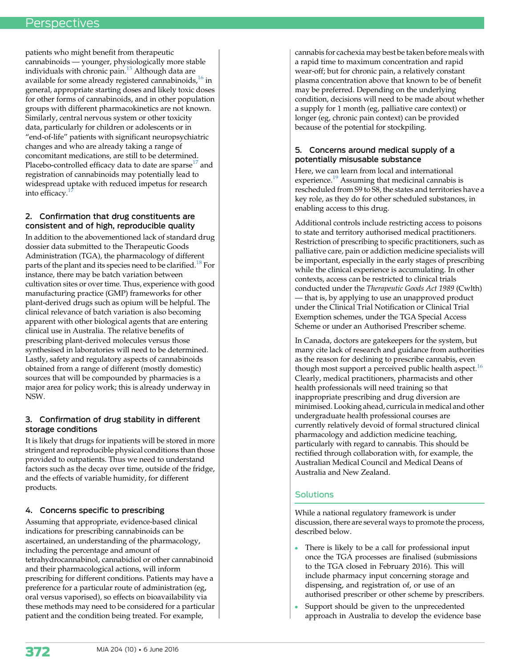# Perspectives

patients who might benefit from therapeutic cannabinoids — younger, physiologically more stable individuals with chronic pain.[15](#page-3-0) Although data are available for some already registered cannabinoids, $^{16}$  $^{16}$  $^{16}$  in general, appropriate starting doses and likely toxic doses for other forms of cannabinoids, and in other population groups with different pharmacokinetics are not known. Similarly, central nervous system or other toxicity data, particularly for children or adolescents or in "end-of-life" patients with significant neuropsychiatric changes and who are already taking a range of concomitant medications, are still to be determined. Placebo-controlled efficacy data to date are sparse $17$  and registration of cannabinoids may potentially lead to widespread uptake with reduced impetus for research into efficacy.<sup>1</sup>

### 2. Confirmation that drug constituents are consistent and of high, reproducible quality

In addition to the abovementioned lack of standard drug dossier data submitted to the Therapeutic Goods Administration (TGA), the pharmacology of different parts of the plant and its species need to be clarified.<sup>18</sup> For instance, there may be batch variation between cultivation sites or over time. Thus, experience with good manufacturing practice (GMP) frameworks for other plant-derived drugs such as opium will be helpful. The clinical relevance of batch variation is also becoming apparent with other biological agents that are entering clinical use in Australia. The relative benefits of prescribing plant-derived molecules versus those synthesised in laboratories will need to be determined. Lastly, safety and regulatory aspects of cannabinoids obtained from a range of different (mostly domestic) sources that will be compounded by pharmacies is a major area for policy work; this is already underway in NSW.

#### 3. Confirmation of drug stability in different storage conditions

It is likely that drugs for inpatients will be stored in more stringent and reproducible physical conditions than those provided to outpatients. Thus we need to understand factors such as the decay over time, outside of the fridge, and the effects of variable humidity, for different products.

### 4. Concerns specific to prescribing

Assuming that appropriate, evidence-based clinical indications for prescribing cannabinoids can be ascertained, an understanding of the pharmacology, including the percentage and amount of tetrahydrocannabinol, cannabidiol or other cannabinoid and their pharmacological actions, will inform prescribing for different conditions. Patients may have a preference for a particular route of administration (eg, oral versus vaporised), so effects on bioavailability via these methods may need to be considered for a particular patient and the condition being treated. For example,

cannabis for cachexia may best be taken before meals with a rapid time to maximum concentration and rapid wear-off; but for chronic pain, a relatively constant plasma concentration above that known to be of benefit may be preferred. Depending on the underlying condition, decisions will need to be made about whether a supply for 1 month (eg, palliative care context) or longer (eg, chronic pain context) can be provided because of the potential for stockpiling.

#### 5. Concerns around medical supply of a potentially misusable substance

Here, we can learn from local and international experience.[19](#page-3-0) Assuming that medicinal cannabis is rescheduled from S9 to S8, the states and territories have a key role, as they do for other scheduled substances, in enabling access to this drug.

Additional controls include restricting access to poisons to state and territory authorised medical practitioners. Restriction of prescribing to specific practitioners, such as palliative care, pain or addiction medicine specialists will be important, especially in the early stages of prescribing while the clinical experience is accumulating. In other contexts, access can be restricted to clinical trials conducted under the Therapeutic Goods Act 1989 (Cwlth) — that is, by applying to use an unapproved product under the Clinical Trial Notification or Clinical Trial Exemption schemes, under the TGA Special Access Scheme or under an Authorised Prescriber scheme.

In Canada, doctors are gatekeepers for the system, but many cite lack of research and guidance from authorities as the reason for declining to prescribe cannabis, even though most support a perceived public health aspect.<sup>[16](#page-3-0)</sup> Clearly, medical practitioners, pharmacists and other health professionals will need training so that inappropriate prescribing and drug diversion are minimised. Looking ahead, curricula in medical and other undergraduate health professional courses are currently relatively devoid of formal structured clinical pharmacology and addiction medicine teaching, particularly with regard to cannabis. This should be rectified through collaboration with, for example, the Australian Medical Council and Medical Deans of Australia and New Zealand.

## **Solutions**

While a national regulatory framework is under discussion, there are several ways to promote the process, described below.

- There is likely to be a call for professional input once the TGA processes are finalised (submissions to the TGA closed in February 2016). This will include pharmacy input concerning storage and dispensing, and registration of, or use of an authorised prescriber or other scheme by prescribers.
- Support should be given to the unprecedented approach in Australia to develop the evidence base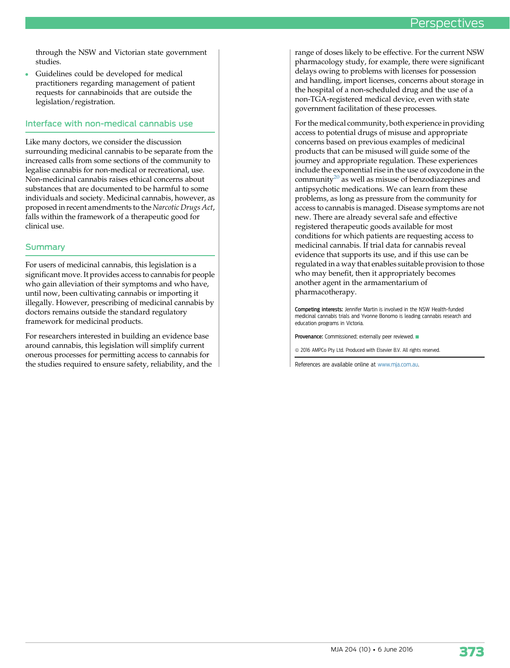through the NSW and Victorian state government studies.

 Guidelines could be developed for medical practitioners regarding management of patient requests for cannabinoids that are outside the legislation/registration.

#### Interface with non-medical cannabis use

Like many doctors, we consider the discussion surrounding medicinal cannabis to be separate from the increased calls from some sections of the community to legalise cannabis for non-medical or recreational, use. Non-medicinal cannabis raises ethical concerns about substances that are documented to be harmful to some individuals and society. Medicinal cannabis, however, as proposed in recent amendments to the Narcotic Drugs Act, falls within the framework of a therapeutic good for clinical use.

#### **Summary**

For users of medicinal cannabis, this legislation is a significant move. It provides access to cannabis for people who gain alleviation of their symptoms and who have, until now, been cultivating cannabis or importing it illegally. However, prescribing of medicinal cannabis by doctors remains outside the standard regulatory framework for medicinal products.

For researchers interested in building an evidence base around cannabis, this legislation will simplify current onerous processes for permitting access to cannabis for the studies required to ensure safety, reliability, and the range of doses likely to be effective. For the current NSW pharmacology study, for example, there were significant delays owing to problems with licenses for possession and handling, import licenses, concerns about storage in the hospital of a non-scheduled drug and the use of a non-TGA-registered medical device, even with state government facilitation of these processes.

For the medical community, both experience in providing access to potential drugs of misuse and appropriate concerns based on previous examples of medicinal products that can be misused will guide some of the journey and appropriate regulation. These experiences include the exponential rise in the use of oxycodone in the community $^{20}$  $^{20}$  $^{20}$  as well as misuse of benzodiazepines and antipsychotic medications. We can learn from these problems, as long as pressure from the community for access to cannabis is managed. Disease symptoms are not new. There are already several safe and effective registered therapeutic goods available for most conditions for which patients are requesting access to medicinal cannabis. If trial data for cannabis reveal evidence that supports its use, and if this use can be regulated in a way that enables suitable provision to those who may benefit, then it appropriately becomes another agent in the armamentarium of pharmacotherapy.

Competing interests: Jennifer Martin is involved in the NSW Health-funded medicinal cannabis trials and Yvonne Bonomo is leading cannabis research and education programs in Victoria.

Provenance: Commissioned; externally peer reviewed.

 $\odot$  2016 AMPCo Pty Ltd. Produced with Elsevier B.V. All rights reserved.

References are available online at [www.mja.com.au](http://www.mja.com.au).